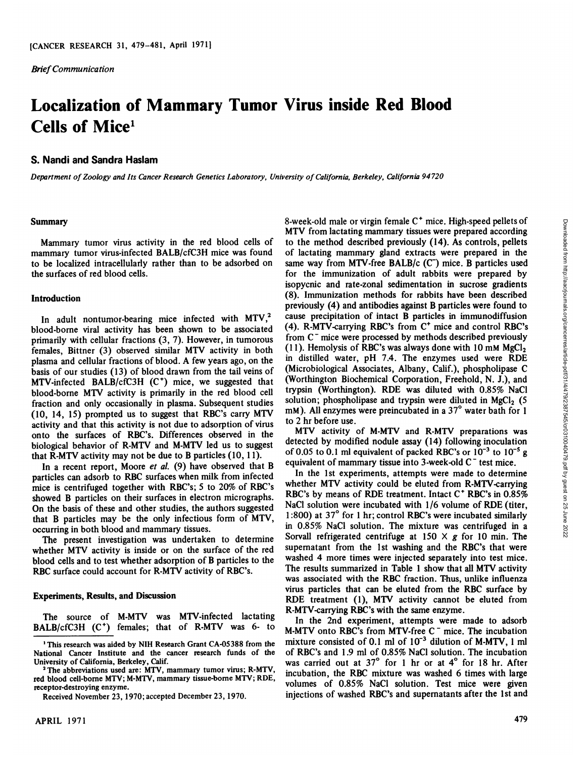*Brief Communication*

# **Localization of Mammary Tumor Virus inside Red Blood Cells of Mice1**

## **S. Nandi and Sandra Haslam**

*Department of Zoology and Its Cancer Research Genetics Laboratory, University ofCalifornia, Berkeley, California 94720*

#### Summary

Mammary tumor virus activity in the red blood cells of mammary tumor virus-infected BALB/cfC3H mice was found to be localized intracellularly rather than to be adsorbed on the surfaces of red blood cells.

### Introduction

In adult nontumor-bearing mice infected with  $MTV<sub>1</sub><sup>2</sup>$ blood-borne viral activity has been shown to be associated primarily with cellular fractions (3, 7). However, in tumorous females, Bittner (3) observed similar MTV activity in both plasma and cellular fractions of blood. A few years ago, on the basis of our studies (13) of blood drawn from the tail veins of MTV-infected BALB/cfC3H (C") mice, we suggested that blood-borne MTV activity is primarily in the red blood cell fraction and only occasionally in plasma. Subsequent studies solution; phospholipase and trypsin were diluted in MgCl<sub>2</sub> (5)<br>(10, 14, 15) prompted us to suggest that RBC's carry MTV mM). All enzymes were preincubated in a (10, 14, 15) prompted us to suggest that RBC's carry MTV activity and that this activity is not due to adsorption of virus to  $2 \text{ hr}$  before use. onto the surfaces of RBC's. Differences observed in the biological behavior of R-MTV and M-MTV led us to suggest<br>that P MTV activity may not be due to B particles (10, 11) of 0.05 to 0.1 ml equivalent of packed RBC's or  $10^{-3}$  to  $10^{-5}$  g that R-MTV activity may not be due to B particles  $(10, 11)$ .

In a recent report, Moore et al. (9) have observed that B particles can adsorb to RBC surfaces when milk from infected mice is centrifuged together with RBC's; 5 to 20% of RBC's showed B particles on their surfaces in electron micrographs. RBC's by means of RDE treatment. Intact C<sup>+</sup> RBC's in 0.85% On the basis of these and other studies, the authors suggested NaCl solution were incubated with  $1/6$  volume of RDE (titer, that R particles may be the only infectious form of MTV  $1:800$ ) at 37° for 1 hr; control RBC's that B particles may be the only infectious form of MTV, occurring in both blood and mammary tissues.

The present investigation was undertaken to determine whether MTV activity is inside or on the surface of the red blood cells and to test whether adsorption of B particles to the RBC surface could account for R-MTV activity of RBC's.

### **Experiments, Results, and Discussion**

The source of M-MTV was MTV-infected lactating  $\frac{1}{\ln}$ BALB/cfC3H (C<sup>+</sup>) females; that of R-MTV was 6- to  $\mu$ MT

Received November 23, 1970; accepted December 23, 1970.

8-week-old male or virgin female C<sup>+</sup> mice. High-speed pellets of MTV from lactating mammary tissues were prepared according to the method described previously (14). As controls, pellets of lactating mammary gland extracts were prepared in the same way from MTV-free BALB/ $c$  (C<sup>-</sup>) mice. B particles used for the immunization of adult rabbits were prepared by isopycnic and rate-zonal sedimentation in sucrose gradients (8). Immunization methods for rabbits have been described previously (4) and antibodies against B particles were found to cause precipitation of intact B particles in immunodiffusion (4). R-MTV-carrying RBC's from C\* mice and control RBC's from C" mice were processed by methods described previously (11). Hemolysis of RBC's was always done with 10 mM  $MgCl<sub>2</sub>$ Sweek-old male or virgin itemale C mice. High-speed pellets of the method described previously (14). As controls, pellets to the method described previously (14). As controls, pellets of lactating mammary gland extracts w (Microbiological Associates, Albany, Calif.), phospholipase C (Worthington Biochemical Corporation, Freehold, N. J.), and trypsin (Worthington). RDE was diluted with 0.85% NaCl solution; phospholipase and trypsin were diluted in  $MgCl<sub>2</sub>$  (5

MTV activity of M-MTV and R-MTV preparations was detected by modified nodule assay  $(14)$  following inoculation equivalent of mammary tissue into 3-week-old C<sup>-</sup> test mice.

In the 1st experiments, attempts were made to determine whether MTV activity could be eluted from R-MTV-carrying NaCl solution were incubated with 1/6 volume of RDE (titer, in 0.85% NaCl solution. The mixture was centrifuged in a Sorvall refrigerated centrifuge at  $150 \times g$  for 10 min. The supernatant from the 1st washing and the RBC's that were washed 4 more times were injected separately into test mice. The results summarized in Table 1 show that all MTV activity was associated with the RBC fraction. Thus, unlike influenza virus particles that can be eluted from the RBC surface by RDE treatment (1), MTV activity cannot be eluted from R-MTV-carrying RBC's with the same enzyme.

In the 2nd experiment, attempts were made to adsorb M-MTV onto RBC's from MTV-free  $C<sup>-</sup>$  mice. The incubation mixture consisted of 0.1 ml of IO"3 dilution of M-MTV, 1 ml of RBC's and 1.9 ml of 0.85% NaCl solution. The incubation was carried out at  $37^\circ$  for 1 hr or at  $4^\circ$  for 18 hr. After incubation, the RBC mixture was washed 6 times with large volumes of 0.85% NaCl solution. Test mice were given injections of washed RBC's and supernatants after the 1st and

<sup>1</sup>This research was aided by NIH Research Grant CA-05388 from the National Cancer Institute and the cancer research funds of the University of California, Berkeley, Calif.

<sup>&</sup>lt;sup>2</sup> The abbreviations used are: MTV, mammary tumor virus; R-MTV, red blood cell-borne MTV; M-MTV, mammary tissue-borne MTV; RDE, receptor-destroying enzyme.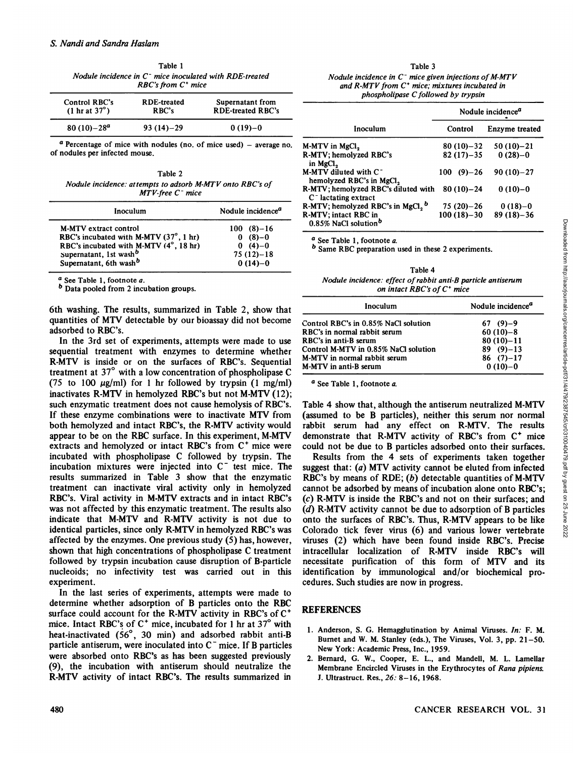Table 1 *Nodule incidence in C~ mice inoculated with RDE-treated RBC'sfrom C\* mice*

| Control RBC's<br>$(1 \text{ hr at } 37^{\circ})$ | <b>RDE-treated</b><br>RBC's | Supernatant from<br><b>RDE-treated RBC's</b> |  |
|--------------------------------------------------|-----------------------------|----------------------------------------------|--|
| $80(10)-28^a$                                    | $93(14)-29$                 | $0(19)-0$                                    |  |

*" Percentage ofmice with nodules (no. of mice used) - average no.*of nodules per infected mouse.

Table 2 *Nodule incidence: attempts to adsorb M-MTV onto RBC's of MTV-free C~ mice*

| Inoculum                                                                 | Nodule incidence <sup><i>a</i></sup> |  |
|--------------------------------------------------------------------------|--------------------------------------|--|
| M-MTV extract control                                                    | $100(8)-16$                          |  |
| RBC's incubated with M-MTV $(37^{\circ}, 1 \text{ hr})$                  | $0(8)-0$                             |  |
| RBC's incubated with M-MTV (4°, 18 hr)                                   | $0(4)-0$                             |  |
|                                                                          | $75(12)-18$                          |  |
| Supernatant, 1st wash <sup>b</sup><br>Supernatant, 6th wash <sup>b</sup> | $0(14)-0$                            |  |

 $a$  See Table 1, footnote a.

*b Data pooled from 2 incubation groups.*

6th washing. The results, summarized in Table 2, show that quantities of MTV detectable by our bioassay did not become adsorbed to RBC's.

In the 3rd set of experiments, attempts were made to use sequential treatment with enzymes to determine whether R-MTV is inside or on the surfaces of RBC's. Sequential treatment at 37°with a low concentration of phospholipase C (75 to 100  $\mu$ g/ml) for 1 hr followed by trypsin (1 mg/ml) inactivates R-MTV in hemolyzed RBC's but not M-MTV (12); such enzymatic treatment does not cause hemolysis of RBC's. If these enzyme combinations were to inactivate MTV from both hemolyzed and intact RBC's, the R-MTV activity would appear to be on the RBC surface. In this experiment, M-MTV extracts and hemolyzed or intact RBC's from C<sup>+</sup> mice were incubated with phospholipase <sup>C</sup> followed by trypsin. The incubation mixtures were injected into C" test mice. The results summarized in Table 3 show that the enzymatic RBC's by means of RDE;  $(b)$  detectable quantities of M-MTV treatment can inactivate viral activity only in hemolyzed RBC's. Viral activity in M-MTV extracts and in intact RBC's was not affected by this enzymatic treatment. The results also indicate that M-MTV and R-MTV activity is not due to identical particles, since only R-MTV in hemolyzed RBC's was affected by the enzymes. One previous study (5) has, however, shown that high concentrations of phospholipase C treatment followed by trypsin incubation cause disruption of B-particle nucleoids; no infectivity test was carried out in this experiment. 480 CRISING CANCER RESEARCH CANCER RESEARCH (ACCER) 2022 (ACCER) 2023 CANCER RESEARCH VOL. 31 DOWNLOAD CANCER RESEARCH VOL. 31 DOWNLOAD CANCER RESEARCH VOL. 31 DOWNLOAD CANCER RESEARCH VOL. 31 DOWNLOAD CANCER RESEARCH VO

In the last series of experiments, attempts were made to determine whether adsorption of B particles onto the RBC surface could account for the R-MTV activity in RBC's of C<sup>+</sup> mice. Intact RBC's of  $C^+$  mice, incubated for 1 hr at 37 $\degree$  with heat-inactivated (56°, 30 min) and adsorbed rabbit anti-B particle antiserum, were inoculated into  $C<sup>-</sup>$  mice. If B particles were absorbed onto RBC's as has been suggested previously (9), the incubation with antiserum should neutralize the R-MTV activity of intact RBC's. The results summarized in

#### Table 3

| Nodule incidence in $C^-$ mice given injections of M-MTV  |  |
|-----------------------------------------------------------|--|
| and $R\text{-}MTV$ from $C^+$ mice; mixtures incubated in |  |
| phospholipase C followed by trypsin                       |  |

|                                                                | Nodule incidence <sup><i>a</i></sup> |                |
|----------------------------------------------------------------|--------------------------------------|----------------|
| Inoculum                                                       | Control                              | Enzyme treated |
| M-MTV in MgCl <sub>2</sub>                                     | $80(10)-32$                          | $50(10)-21$    |
| R-MTV; hemolyzed RBC's<br>in MgCl <sub>2</sub>                 | $82(17)-35$                          | $0(28)-0$      |
| M-MTV diluted with $C^-$<br>hemolyzed RBC's in MgCl,           | $100(9)-26$                          | $90(10)-27$    |
| R-MTV; hemolyzed RBC's diluted with<br>$C^-$ lactating extract | $80(10)-24$                          | $0(10)-0$      |
| R-MTV; hemolyzed RBC's in MgCl, b                              | $75(20)-26$                          | $0(18)-0$      |
| R-MTV; intact RBC in<br>0.85% NaCl solution <sup>b</sup>       | $100(18)-30$                         | $89(18)-36$    |

 $a$  See Table 1, footnote  $a$ .

*h Same RBC preparation used in these 2 experiments.*

Table 4 *on intact RBC's ofC\* mice*

| Inoculum                             | Nodule incidence <sup><i>a</i></sup> |  |
|--------------------------------------|--------------------------------------|--|
| Control RBC's in 0.85% NaCl solution | $67(9)-9$                            |  |
| RBC's in normal rabbit serum         | $60(10)-8$                           |  |
| RBC's in anti-B serum                | $80(10)-11$                          |  |
| Control M-MTV in 0.85% NaCl solution | $89(9)-13$                           |  |
| M-MTV in normal rabbit serum         | $86(7)-17$                           |  |
| M-MTV in anti-B serum                | $0(10)-0$                            |  |

*a See Table 1, footnote a.*

Table 4 show that, although the antiserum neutralized M-MTV (assumed to be B particles), neither this serum nor normal rabbit serum had any effect on R-MTV. The results demonstrate that R-MTV activity of RBC's from C<sup>+</sup> mice could not be due to B particles adsorbed onto their surfaces.

*M* **NaCl solution**<br> **Example 1.** footnote *a*.<br> **IVALUE incidence: effect** *of notical antiserum*<br> **INVIA** *incidence:* **<b>effect** *of notical RBC's* of *C*<sup>+</sup> mice<br> **Incculum**<br> **Incidence**: **effect of** *c*<sup>*mic</sup>* Results from the 4 sets of experiments taken together suggest that:  $(a)$  MTV activity cannot be eluted from infected cannot be adsorbed by means of incubation alone onto RBC's; (c) R-MTV is inside the RBC's and not on their surfaces; and *(d) R-MTV activity cannot be due to adsorption of B particles* onto the surfaces of RBC's. Thus, R-MTV appears to be like Colorado tick fever virus (6) and various lower vertebrate viruses (2) which have been found inside RBC's. Precise intracellular localization of R-MTV inside RBC's will necessitate purification of this form of MTV and its identification by immunological and/or biochemical pro cedures. Such studies are now in progress.

# REFERENCES

- 1. Anderson, S. G. Hemagglutination by Animal Viruses. In: F. M. Burnet and W. M. Stanley (eds.), The Viruses, Vol. 3, pp. 21-50. New York: Academic Press, Inc., 1959.
- 2. Bernard, G. W., Cooper, E. L., and Mandell, M. L. Lamellar Membrane Encircled Viruses in the Erythrocytes of Rana pipiens. *¡.Ultrastruct. Res., 26: 8-16, 1968.*